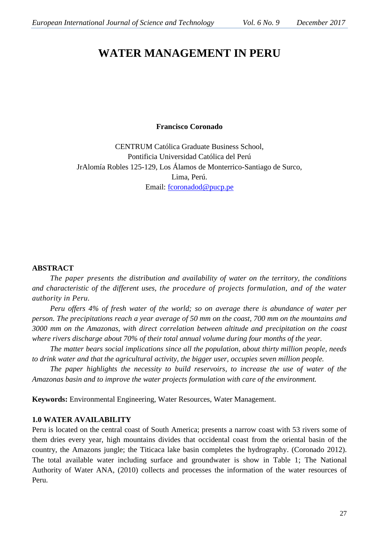# **WATER MANAGEMENT IN PERU**

## **Francisco Coronado**

CENTRUM Católica Graduate Business School, Pontificia Universidad Católica del Perú JrAlomía Robles 125-129, Los Álamos de Monterrico-Santiago de Surco, Lima, Perú. Email: [fcoronadod@pucp.pe](mailto:fcoronadod@pucp.pe)

## **ABSTRACT**

*The paper presents the distribution and availability of water on the territory, the conditions and characteristic of the different uses, the procedure of projects formulation, and of the water authority in Peru.*

*Peru offers 4% of fresh water of the world; so on average there is abundance of water per person. The precipitations reach a year average of 50 mm on the coast, 700 mm on the mountains and 3000 mm on the Amazonas, with direct correlation between altitude and precipitation on the coast where rivers discharge about 70% of their total annual volume during four months of the year.*

*The matter bears social implications since all the population, about thirty million people, needs to drink water and that the agricultural activity, the bigger user, occupies seven million people.*

*The paper highlights the necessity to build reservoirs, to increase the use of water of the Amazonas basin and to improve the water projects formulation with care of the environment.*

**Keywords:** Environmental Engineering, Water Resources, Water Management.

## **1.0 WATER AVAILABILITY**

Peru is located on the central coast of South America; presents a narrow coast with 53 rivers some of them dries every year, high mountains divides that occidental coast from the oriental basin of the country, the Amazons jungle; the Titicaca lake basin completes the hydrography. (Coronado 2012). The total available water including surface and groundwater is show in Table 1; The National Authority of Water ANA, (2010) collects and processes the information of the water resources of Peru.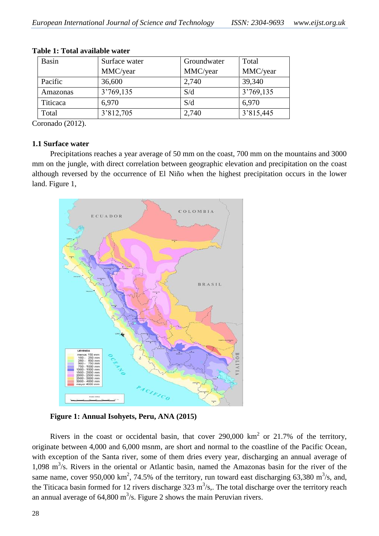| <b>Basin</b> | Surface water | Groundwater | Total     |
|--------------|---------------|-------------|-----------|
|              | MMC/year      | MMC/year    | MMC/year  |
| Pacific      | 36,600        | 2,740       | 39,340    |
| Amazonas     | 3'769,135     | S/d         | 3'769,135 |
| Titicaca     | 6,970         | S/d         | 6,970     |
| Total        | 3'812,705     | 2,740       | 3'815,445 |

#### **Table 1: Total available water**

Coronado (2012).

## **1.1 Surface water**

Precipitations reaches a year average of 50 mm on the coast, 700 mm on the mountains and 3000 mm on the jungle, with direct correlation between geographic elevation and precipitation on the coast although reversed by the occurrence of El Niño when the highest precipitation occurs in the lower land. Figure 1,



**Figure 1: Annual Isohyets, Peru, ANA (2015)**

Rivers in the coast or occidental basin, that cover  $290,000 \text{ km}^2$  or  $21.7\%$  of the territory, originate between 4,000 and 6,000 msnm, are short and normal to the coastline of the Pacific Ocean, with exception of the Santa river, some of them dries every year, discharging an annual average of 1,098  $\text{m}^3$ /s. Rivers in the oriental or Atlantic basin, named the Amazonas basin for the river of the same name, cover 950,000 km<sup>2</sup>, 74.5% of the territory, run toward east discharging 63,380 m<sup>3</sup>/s, and, the Titicaca basin formed for 12 rivers discharge  $323 \text{ m}^3/\text{s}$ . The total discharge over the territory reach an annual average of 64,800 m<sup>3</sup>/s. Figure 2 shows the main Peruvian rivers.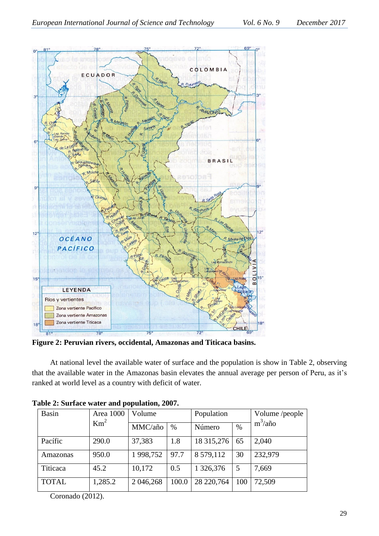

**Figure 2: Peruvian rivers, occidental, Amazonas and Titicaca basins.**

At national level the available water of surface and the population is show in Table 2, observing that the available water in the Amazonas basin elevates the annual average per person of Peru, as it's ranked at world level as a country with deficit of water.

| <b>Basin</b> | Area 1000<br>$Km^2$ | Volume    |       | Population |      | Volume /people |
|--------------|---------------------|-----------|-------|------------|------|----------------|
|              |                     | MMC/año   | $\%$  | Número     | $\%$ | $m^3/a$ ño     |
| Pacífic      | 290.0               | 37,383    | 1.8   | 18 315,276 | 65   | 2,040          |
| Amazonas     | 950.0               | 1998,752  | 97.7  | 8 579,112  | 30   | 232,979        |
| Titicaca     | 45.2                | 10,172    | 0.5   | 1 326,376  | 5    | 7,669          |
| <b>TOTAL</b> | 1,285.2             | 2 046,268 | 100.0 | 28 220,764 | 100  | 72,509         |

|  |  |  | Table 2: Surface water and population, 2007. |  |
|--|--|--|----------------------------------------------|--|

Coronado (2012).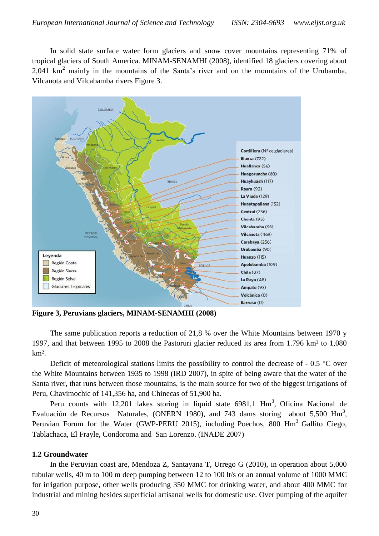In solid state surface water form glaciers and snow cover mountains representing 71% of tropical glaciers of South America. MINAM-SENAMHI (2008), identified 18 glaciers covering about 2,041  $km<sup>2</sup>$  mainly in the mountains of the Santa's river and on the mountains of the Urubamba, Vilcanota and Vilcabamba rivers Figure 3.



**Figure 3, Peruvians glaciers, MINAM-SENAMHI (2008)**

The same publication reports a reduction of 21,8 % over the White Mountains between 1970 y 1997, and that between 1995 to 2008 the Pastoruri glacier reduced its area from 1.796 km² to 1,080 km².

Deficit of meteorological stations limits the possibility to control the decrease of - 0.5 °C over the White Mountains between 1935 to 1998 (IRD 2007), in spite of being aware that the water of the Santa river, that runs between those mountains, is the main source for two of the biggest irrigations of Peru, Chavimochic of 141,356 ha, and Chinecas of 51,900 ha.

Peru counts with 12,201 lakes storing in liquid state  $6981,1$  Hm<sup>3</sup>, Oficina Nacional de Evaluación de Recursos Naturales, (ONERN 1980), and 743 dams storing about 5,500  $\text{Hm}^3$ , Peruvian Forum for the Water (GWP-PERU 2015), including Poechos, 800 Hm<sup>3</sup> Gallito Ciego, Tablachaca, El Frayle, Condoroma and San Lorenzo. (INADE 2007)

# **1.2 Groundwater**

In the Peruvian coast are, Mendoza Z, Santayana T, Urrego G (2010), in operation about 5,000 tubular wells, 40 m to 100 m deep pumping between 12 to 100 lt/s or an annual volume of 1000 MMC for irrigation purpose, other wells producing 350 MMC for drinking water, and about 400 MMC for industrial and mining besides superficial artisanal wells for domestic use. Over pumping of the aquifer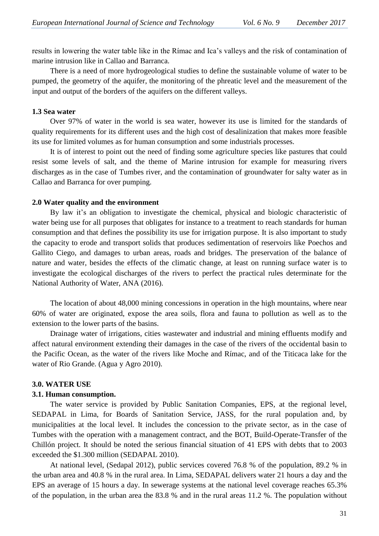results in lowering the water table like in the Rímac and Ica's valleys and the risk of contamination of marine intrusion like in Callao and Barranca.

There is a need of more hydrogeological studies to define the sustainable volume of water to be pumped, the geometry of the aquifer, the monitoring of the phreatic level and the measurement of the input and output of the borders of the aquifers on the different valleys.

#### **1.3 Sea water**

Over 97% of water in the world is sea water, however its use is limited for the standards of quality requirements for its different uses and the high cost of desalinization that makes more feasible its use for limited volumes as for human consumption and some industrials processes.

It is of interest to point out the need of finding some agriculture species like pastures that could resist some levels of salt, and the theme of Marine intrusion for example for measuring rivers discharges as in the case of Tumbes river, and the contamination of groundwater for salty water as in Callao and Barranca for over pumping.

#### **2.0 Water quality and the environment**

By law it's an obligation to investigate the chemical, physical and biologic characteristic of water being use for all purposes that obligates for instance to a treatment to reach standards for human consumption and that defines the possibility its use for irrigation purpose. It is also important to study the capacity to erode and transport solids that produces sedimentation of reservoirs like Poechos and Gallito Ciego, and damages to urban areas, roads and bridges. The preservation of the balance of nature and water, besides the effects of the climatic change, at least on running surface water is to investigate the ecological discharges of the rivers to perfect the practical rules determinate for the National Authority of Water, ANA (2016).

The location of about 48,000 mining concessions in operation in the high mountains, where near 60% of water are originated, expose the area soils, flora and fauna to pollution as well as to the extension to the lower parts of the basins.

Drainage water of irrigations, cities wastewater and industrial and mining effluents modify and affect natural environment extending their damages in the case of the rivers of the occidental basin to the Pacific Ocean, as the water of the rivers like Moche and Rímac, and of the Titicaca lake for the water of Rio Grande. (Agua y Agro 2010).

#### **3.0. WATER USE**

#### **3.1. Human consumption.**

The water service is provided by Public Sanitation Companies, EPS, at the regional level, SEDAPAL in Lima, for Boards of Sanitation Service, JASS, for the rural population and, by municipalities at the local level. It includes the concession to the private sector, as in the case of Tumbes with the operation with a management contract, and the BOT, Build-Operate-Transfer of the Chillón project. It should be noted the serious financial situation of 41 EPS with debts that to 2003 exceeded the \$1.300 million (SEDAPAL 2010).

At national level, (Sedapal 2012), public services covered 76.8 % of the population, 89.2 % in the urban area and 40.8 % in the rural area. In Lima, SEDAPAL delivers water 21 hours a day and the EPS an average of 15 hours a day. In sewerage systems at the national level coverage reaches 65.3% of the population, in the urban area the 83.8 % and in the rural areas 11.2 %. The population without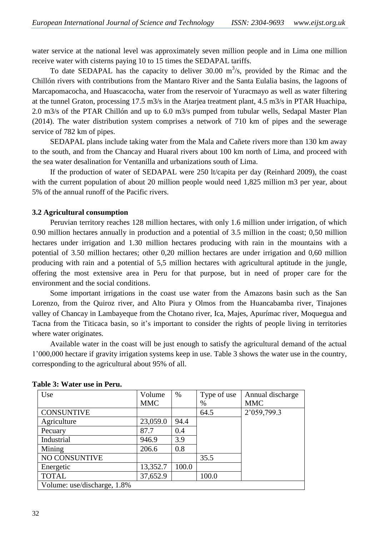water service at the national level was approximately seven million people and in Lima one million receive water with cisterns paying 10 to 15 times the SEDAPAL tariffs.

To date SEDAPAL has the capacity to deliver 30.00  $m^3/s$ , provided by the Rimac and the Chillón rivers with contributions from the Mantaro River and the Santa Eulalia basins, the lagoons of Marcapomacocha, and Huascacocha, water from the reservoir of Yuracmayo as well as water filtering at the tunnel Graton, processing 17.5 m3/s in the Atarjea treatment plant, 4.5 m3/s in PTAR Huachipa, 2.0 m3/s of the PTAR Chillón and up to 6.0 m3/s pumped from tubular wells, Sedapal Master Plan (2014). The water distribution system comprises a network of 710 km of pipes and the sewerage service of 782 km of pipes.

SEDAPAL plans include taking water from the Mala and Cañete rivers more than 130 km away to the south, and from the Chancay and Huaral rivers about 100 km north of Lima, and proceed with the sea water desalination for Ventanilla and urbanizations south of Lima.

If the production of water of SEDAPAL were 250 lt/capita per day (Reinhard 2009), the coast with the current population of about 20 million people would need 1,825 million m3 per year, about 5% of the annual runoff of the Pacific rivers.

## **3.2 Agricultural consumption**

Peruvian territory reaches 128 million hectares, with only 1.6 million under irrigation, of which 0.90 million hectares annually in production and a potential of 3.5 million in the coast; 0,50 million hectares under irrigation and 1.30 million hectares producing with rain in the mountains with a potential of 3.50 million hectares; other 0,20 million hectares are under irrigation and 0,60 million producing with rain and a potential of 5,5 million hectares with agricultural aptitude in the jungle, offering the most extensive area in Peru for that purpose, but in need of proper care for the environment and the social conditions.

Some important irrigations in the coast use water from the Amazons basin such as the San Lorenzo, from the Quiroz river, and Alto Piura y Olmos from the Huancabamba river, Tinajones valley of Chancay in Lambayeque from the Chotano river, Ica, Majes, Apurímac river, Moquegua and Tacna from the Titicaca basin, so it's important to consider the rights of people living in territories where water originates.

Available water in the coast will be just enough to satisfy the agricultural demand of the actual 1'000,000 hectare if gravity irrigation systems keep in use. Table 3 shows the water use in the country, corresponding to the agricultural about 95% of all.

| Use                         | Volume     | $\%$  | Type of use | Annual discharge |
|-----------------------------|------------|-------|-------------|------------------|
|                             | <b>MMC</b> |       | $\%$        | <b>MMC</b>       |
| <b>CONSUNTIVE</b>           |            |       | 64.5        | 2'059,799.3      |
| Agriculture                 | 23,059.0   | 94.4  |             |                  |
| Pecuary                     | 87.7       | 0.4   |             |                  |
| Industrial                  | 946.9      | 3.9   |             |                  |
| Mining                      | 206.6      | 0.8   |             |                  |
| NO CONSUNTIVE               |            |       | 35.5        |                  |
| Energetic                   | 13,352.7   | 100.0 |             |                  |
| <b>TOTAL</b>                | 37,652.9   |       | 100.0       |                  |
| Volume: use/discharge, 1.8% |            |       |             |                  |

|  | Table 3: Water use in Peru. |  |
|--|-----------------------------|--|
|--|-----------------------------|--|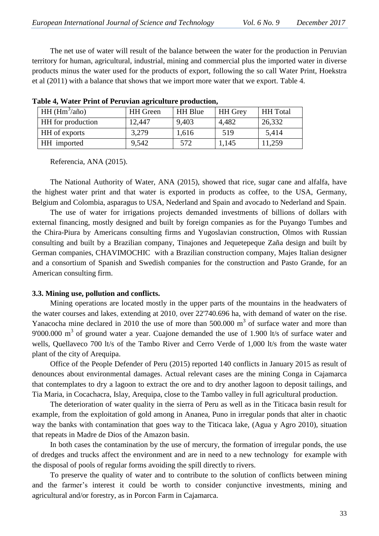The net use of water will result of the balance between the water for the production in Peruvian territory for human, agricultural, industrial, mining and commercial plus the imported water in diverse products minus the water used for the products of export, following the so call Water Print, Hoekstra et al (2011) with a balance that shows that we import more water that we export. Table 4.

| $HH(Hm3/a\tilde{n}o)$    | <b>HH</b> Green | <b>HH</b> Blue | <b>HH</b> Grey | <b>HH</b> Total |
|--------------------------|-----------------|----------------|----------------|-----------------|
| <b>HH</b> for production | 12,447          | 9,403          | 4,482          | 26,332          |
| <b>HH</b> of exports     | 3,279           | 1,616          | 519            | 5,414           |
| <b>HH</b> imported       | 9,542           | 572            | 1,145          | 11,259          |

|  |  |  | Table 4, Water Print of Peruvian agriculture production, |
|--|--|--|----------------------------------------------------------|
|  |  |  |                                                          |

Referencia, ANA (2015).

The National Authority of Water, ANA (2015), showed that rice, sugar cane and alfalfa, have the highest water print and that water is exported in products as coffee, to the USA, Germany, Belgium and Colombia, asparagus to USA, Nederland and Spain and avocado to Nederland and Spain.

The use of water for irrigations projects demanded investments of billions of dollars with external financing, mostly designed and built by foreign companies as for the Puyango Tumbes and the Chira-Piura by Americans consulting firms and Yugoslavian construction, Olmos with Russian consulting and built by a Brazilian company, Tinajones and Jequetepeque Zaña design and built by German companies, CHAVIMOCHIC with a Brazilian construction company, Majes Italian designer and a consortium of Spanish and Swedish companies for the construction and Pasto Grande, for an American consulting firm.

#### **3.3. Mining use, pollution and conflicts.**

Mining operations are located mostly in the upper parts of the mountains in the headwaters of the water courses and lakes, extending at 2010, over 22'740.696 ha, with demand of water on the rise. Yanacocha mine declared in 2010 the use of more than  $500.000 \text{ m}^3$  of surface water and more than 9'000.000  $\text{m}^3$  of ground water a year. Cuajone demanded the use of 1.900 lt/s of surface water and wells, Quellaveco 700 lt/s of the Tambo River and Cerro Verde of 1,000 lt/s from the waste water plant of the city of Arequipa.

Office of the People Defender of Peru (2015) reported 140 conflicts in January 2015 as result of denounces about environmental damages. Actual relevant cases are the mining Conga in Cajamarca that contemplates to dry a lagoon to extract the ore and to dry another lagoon to deposit tailings, and Tia Maria, in Cocachacra, Islay, Arequipa, close to the Tambo valley in full agricultural production.

The deterioration of water quality in the sierra of Peru as well as in the Titicaca basin result for example, from the exploitation of gold among in Ananea, Puno in irregular ponds that alter in chaotic way the banks with contamination that goes way to the Titicaca lake, (Agua y Agro 2010), situation that repeats in Madre de Dios of the Amazon basin.

In both cases the contamination by the use of mercury, the formation of irregular ponds, the use of dredges and trucks affect the environment and are in need to a new technology for example with the disposal of pools of regular forms avoiding the spill directly to rivers.

To preserve the quality of water and to contribute to the solution of conflicts between mining and the farmer's interest it could be worth to consider conjunctive investments, mining and agricultural and/or forestry, as in Porcon Farm in Cajamarca.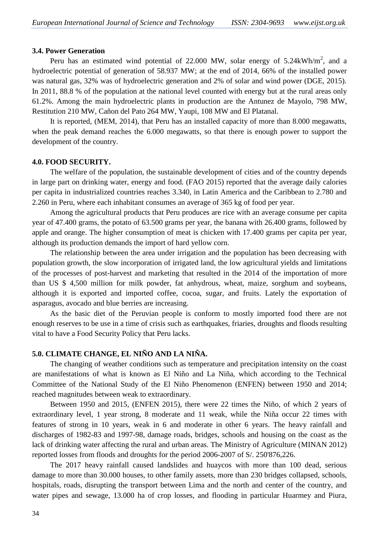#### **3.4. Power Generation**

Peru has an estimated wind potential of 22.000 MW, solar energy of  $5.24 \text{kWh/m}^2$ , and a hydroelectric potential of generation of 58.937 MW; at the end of 2014, 66% of the installed power was natural gas, 32% was of hydroelectric generation and 2% of solar and wind power (DGE, 2015). In 2011, 88.8 % of the population at the national level counted with energy but at the rural areas only 61.2%. Among the main hydroelectric plants in production are the Antunez de Mayolo, 798 MW, Restitution 210 MW, Cañon del Pato 264 MW, Yaupi, 108 MW and El Platanal.

It is reported, (MEM, 2014), that Peru has an installed capacity of more than 8.000 megawatts, when the peak demand reaches the 6.000 megawatts, so that there is enough power to support the development of the country.

#### **4.0. FOOD SECURITY.**

The welfare of the population, the sustainable development of cities and of the country depends in large part on drinking water, energy and food. (FAO 2015) reported that the average daily calories per capita in industrialized countries reaches 3.340, in Latin America and the Caribbean to 2.780 and 2.260 in Peru, where each inhabitant consumes an average of 365 kg of food per year.

Among the agricultural products that Peru produces are rice with an average consume per capita year of 47.400 grams, the potato of 63.500 grams per year, the banana with 26.400 grams, followed by apple and orange. The higher consumption of meat is chicken with 17.400 grams per capita per year, although its production demands the import of hard yellow corn.

The relationship between the area under irrigation and the population has been decreasing with population growth, the slow incorporation of irrigated land, the low agricultural yields and limitations of the processes of post-harvest and marketing that resulted in the 2014 of the importation of more than US \$ 4,500 million for milk powder, fat anhydrous, wheat, maize, sorghum and soybeans, although it is exported and imported coffee, cocoa, sugar, and fruits. Lately the exportation of asparagus, avocado and blue berries are increasing.

As the basic diet of the Peruvian people is conform to mostly imported food there are not enough reserves to be use in a time of crisis such as earthquakes, friaries, droughts and floods resulting vital to have a Food Security Policy that Peru lacks.

## **5.0. CLIMATE CHANGE, EL NIÑO AND LA NIÑA.**

The changing of weather conditions such as temperature and precipitation intensity on the coast are manifestations of what is known as El Niño and La Niña, which according to the Technical Committee of the National Study of the El Niño Phenomenon (ENFEN) between 1950 and 2014; reached magnitudes between weak to extraordinary.

Between 1950 and 2015, (ENFEN 2015), there were 22 times the Niño, of which 2 years of extraordinary level, 1 year strong, 8 moderate and 11 weak, while the Niña occur 22 times with features of strong in 10 years, weak in 6 and moderate in other 6 years. The heavy rainfall and discharges of 1982-83 and 1997-98, damage roads, bridges, schools and housing on the coast as the lack of drinking water affecting the rural and urban areas. The Ministry of Agriculture (MINAN 2012) reported losses from floods and droughts for the period 2006-2007 of S/. 250'876,226.

The 2017 heavy rainfall caused landslides and huaycos with more than 100 dead, serious damage to more than 30.000 houses, to other family assets, more than 230 bridges collapsed, schools, hospitals, roads, disrupting the transport between Lima and the north and center of the country, and water pipes and sewage, 13.000 ha of crop losses, and flooding in particular Huarmey and Piura,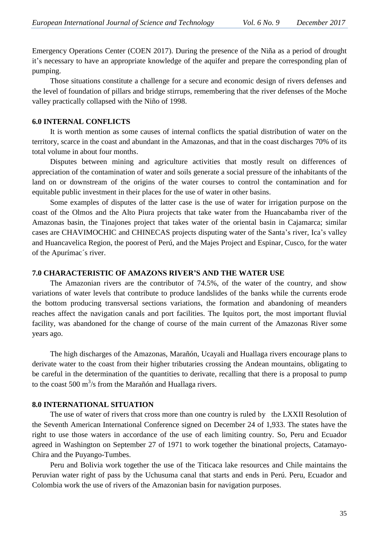Emergency Operations Center (COEN 2017). During the presence of the Niña as a period of drought it's necessary to have an appropriate knowledge of the aquifer and prepare the corresponding plan of pumping.

Those situations constitute a challenge for a secure and economic design of rivers defenses and the level of foundation of pillars and bridge stirrups, remembering that the river defenses of the Moche valley practically collapsed with the Niño of 1998.

## **6.0 INTERNAL CONFLICTS**

It is worth mention as some causes of internal conflicts the spatial distribution of water on the territory, scarce in the coast and abundant in the Amazonas, and that in the coast discharges 70% of its total volume in about four months.

Disputes between mining and agriculture activities that mostly result on differences of appreciation of the contamination of water and soils generate a social pressure of the inhabitants of the land on or downstream of the origins of the water courses to control the contamination and for equitable public investment in their places for the use of water in other basins.

Some examples of disputes of the latter case is the use of water for irrigation purpose on the coast of the Olmos and the Alto Piura projects that take water from the Huancabamba river of the Amazonas basin, the Tinajones project that takes water of the oriental basin in Cajamarca; similar cases are CHAVIMOCHIC and CHINECAS projects disputing water of the Santa's river, Ica's valley and Huancavelica Region, the poorest of Perú, and the Majes Project and Espinar, Cusco, for the water of the Apurímac´s river.

## **7.0 CHARACTERISTIC OF AMAZONS RIVER'S AND THE WATER USE**

The Amazonian rivers are the contributor of 74.5%, of the water of the country, and show variations of water levels that contribute to produce landslides of the banks while the currents erode the bottom producing transversal sections variations, the formation and abandoning of meanders reaches affect the navigation canals and port facilities. The Iquitos port, the most important fluvial facility, was abandoned for the change of course of the main current of the Amazonas River some years ago.

The high discharges of the Amazonas, Marañón, Ucayali and Huallaga rivers encourage plans to derivate water to the coast from their higher tributaries crossing the Andean mountains, obligating to be careful in the determination of the quantities to derivate, recalling that there is a proposal to pump to the coast 500  $\text{m}^3$ /s from the Marañón and Huallaga rivers.

## **8.0 INTERNATIONAL SITUATION**

The use of water of rivers that cross more than one country is ruled by the LXXII Resolution of the Seventh American International Conference signed on December 24 of 1,933. The states have the right to use those waters in accordance of the use of each limiting country. So, Peru and Ecuador agreed in Washington on September 27 of 1971 to work together the binational projects, Catamayo-Chira and the Puyango-Tumbes.

Peru and Bolivia work together the use of the Titicaca lake resources and Chile maintains the Peruvian water right of pass by the Uchusuma canal that starts and ends in Perú. Peru, Ecuador and Colombia work the use of rivers of the Amazonian basin for navigation purposes.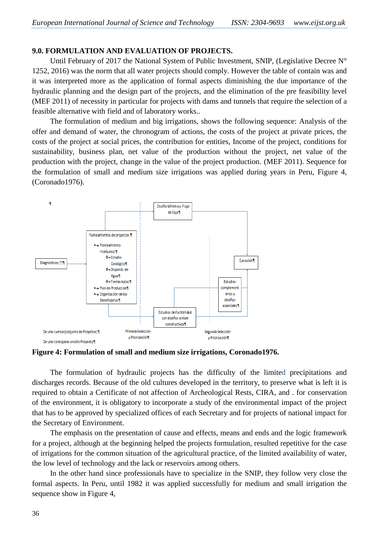## **9.0. FORMULATION AND EVALUATION OF PROJECTS.**

Until February of 2017 the National System of Public Investment, SNIP, (Legislative Decree  $N^{\circ}$ 1252, 2016) was the norm that all water projects should comply. However the table of contain was and it was interpreted more as the application of formal aspects diminishing the due importance of the hydraulic planning and the design part of the projects, and the elimination of the pre feasibility level (MEF 2011) of necessity in particular for projects with dams and tunnels that require the selection of a feasible alternative with field and of laboratory works..

The formulation of medium and big irrigations, shows the following sequence: Analysis of the offer and demand of water, the chronogram of actions, the costs of the project at private prices, the costs of the project at social prices, the contribution for entities, Income of the project, conditions for sustainability, business plan, net value of the production without the project, net value of the production with the project, change in the value of the project production. (MEF 2011). Sequence for the formulation of small and medium size irrigations was applied during years in Peru, Figure 4, (Coronado1976).



**Figure 4: Formulation of small and medium size irrigations, Coronado1976.**

The formulation of hydraulic projects has the difficulty of the limited precipitations and discharges records. Because of the old cultures developed in the territory, to preserve what is left it is required to obtain a Certificate of not affection of Archeological Rests, CIRA, and . for conservation of the environment, it is obligatory to incorporate a study of the environmental impact of the project that has to be approved by specialized offices of each Secretary and for projects of national impact for the Secretary of Environment.

The emphasis on the presentation of cause and effects, means and ends and the logic framework for a project, although at the beginning helped the projects formulation, resulted repetitive for the case of irrigations for the common situation of the agricultural practice, of the limited availability of water, the low level of technology and the lack or reservoirs among others.

In the other hand since professionals have to specialize in the SNIP, they follow very close the formal aspects. In Peru, until 1982 it was applied successfully for medium and small irrigation the sequence show in Figure 4,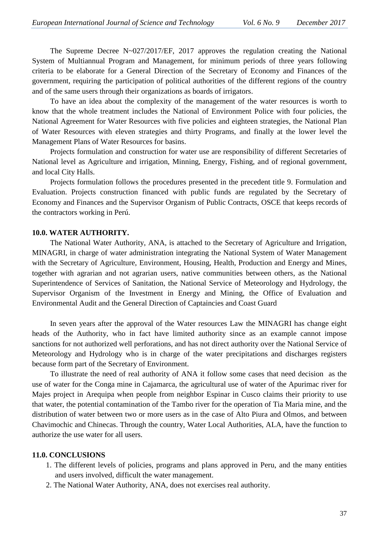The Supreme Decree N~027/2017/EF, 2017 approves the regulation creating the National System of Multiannual Program and Management, for minimum periods of three years following criteria to be elaborate for a General Direction of the Secretary of Economy and Finances of the government, requiring the participation of political authorities of the different regions of the country and of the same users through their organizations as boards of irrigators.

To have an idea about the complexity of the management of the water resources is worth to know that the whole treatment includes the National of Environment Police with four policies, the National Agreement for Water Resources with five policies and eighteen strategies, the National Plan of Water Resources with eleven strategies and thirty Programs, and finally at the lower level the Management Plans of Water Resources for basins.

Projects formulation and construction for water use are responsibility of different Secretaries of National level as Agriculture and irrigation, Minning, Energy, Fishing, and of regional government, and local City Halls.

Projects formulation follows the procedures presented in the precedent title 9. Formulation and Evaluation. Projects construction financed with public funds are regulated by the Secretary of Economy and Finances and the Supervisor Organism of Public Contracts, OSCE that keeps records of the contractors working in Perú.

## **10.0. WATER AUTHORITY.**

The National Water Authority, ANA, is attached to the Secretary of Agriculture and Irrigation, MINAGRI, in charge of water administration integrating the National System of Water Management with the Secretary of Agriculture, Environment, Housing, Health, Production and Energy and Mines, together with agrarian and not agrarian users, native communities between others, as the National Superintendence of Services of Sanitation, the National Service of Meteorology and Hydrology, the Supervisor Organism of the Investment in Energy and Mining, the Office of Evaluation and Environmental Audit and the General Direction of Captaincies and Coast Guard

In seven years after the approval of the Water resources Law the MINAGRI has change eight heads of the Authority, who in fact have limited authority since as an example cannot impose sanctions for not authorized well perforations, and has not direct authority over the National Service of Meteorology and Hydrology who is in charge of the water precipitations and discharges registers because form part of the Secretary of Environment.

To illustrate the need of real authority of ANA it follow some cases that need decision as the use of water for the Conga mine in Cajamarca, the agricultural use of water of the Apurimac river for Majes project in Arequipa when people from neighbor Espinar in Cusco claims their priority to use that water, the potential contamination of the Tambo river for the operation of Tia Maria mine, and the distribution of water between two or more users as in the case of Alto Piura and Olmos, and between Chavimochic and Chinecas. Through the country, Water Local Authorities, ALA, have the function to authorize the use water for all users.

## **11.0. CONCLUSIONS**

- 1. The different levels of policies, programs and plans approved in Peru, and the many entities and users involved, difficult the water management.
- 2. The National Water Authority, ANA, does not exercises real authority.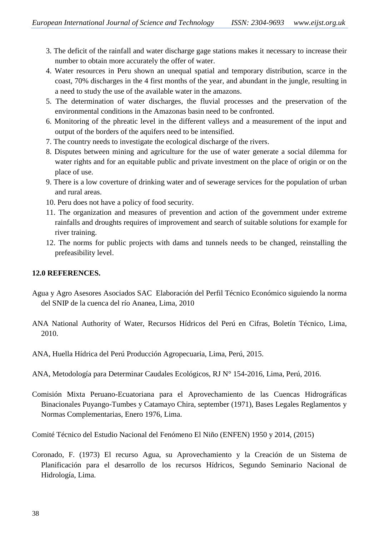- 3. The deficit of the rainfall and water discharge gage stations makes it necessary to increase their number to obtain more accurately the offer of water.
- 4. Water resources in Peru shown an unequal spatial and temporary distribution, scarce in the coast, 70% discharges in the 4 first months of the year, and abundant in the jungle, resulting in a need to study the use of the available water in the amazons.
- 5. The determination of water discharges, the fluvial processes and the preservation of the environmental conditions in the Amazonas basin need to be confronted.
- 6. Monitoring of the phreatic level in the different valleys and a measurement of the input and output of the borders of the aquifers need to be intensified.
- 7. The country needs to investigate the ecological discharge of the rivers.
- 8. Disputes between mining and agriculture for the use of water generate a social dilemma for water rights and for an equitable public and private investment on the place of origin or on the place of use.
- 9. There is a low coverture of drinking water and of sewerage services for the population of urban and rural areas.
- 10. Peru does not have a policy of food security.
- 11. The organization and measures of prevention and action of the government under extreme rainfalls and droughts requires of improvement and search of suitable solutions for example for river training.
- 12. The norms for public projects with dams and tunnels needs to be changed, reinstalling the prefeasibility level.

# **12.0 REFERENCES.**

- Agua y Agro Asesores Asociados SAC Elaboración del Perfil Técnico Económico siguiendo la norma del SNIP de la cuenca del río Ananea, Lima, 2010
- ANA National Authority of Water, Recursos Hídricos del Perú en Cifras, Boletín Técnico, Lima, 2010.
- ANA, Huella Hídrica del Perú Producción Agropecuaria, Lima, Perú, 2015.
- ANA, Metodología para Determinar Caudales Ecológicos, RJ N° 154-2016, Lima, Perú, 2016.
- Comisión Mixta Peruano-Ecuatoriana para el Aprovechamiento de las Cuencas Hidrográficas Binacionales Puyango-Tumbes y Catamayo Chira, september (1971), Bases Legales Reglamentos y Normas Complementarias, Enero 1976, Lima.

Comité Técnico del Estudio Nacional del Fenómeno El Niño (ENFEN) 1950 y 2014, (2015)

Coronado, F. (1973) El recurso Agua, su Aprovechamiento y la Creación de un Sistema de Planificación para el desarrollo de los recursos Hídricos, Segundo Seminario Nacional de Hidrología, Lima.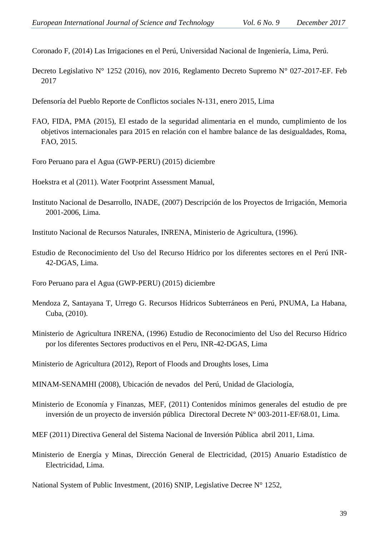Coronado F, (2014) Las Irrigaciones en el Perú, Universidad Nacional de Ingeniería, Lima, Perú.

Decreto Legislativo N° 1252 (2016), nov 2016, Reglamento Decreto Supremo N° 027-2017-EF. Feb 2017

[Defensoría del Pueblo](http://elcomercio.pe/noticias/defensoria-pueblo-1803?ref=nota_peru&ft=contenido) Reporte de Conflictos sociales N-131, enero 2015, Lima

FAO, FIDA, PMA (2015), El estado de la seguridad alimentaria en el mundo, cumplimiento de los objetivos internacionales para 2015 en relación con el hambre balance de las desigualdades, Roma, FAO, 2015.

Foro Peruano para el Agua (GWP-PERU) (2015) diciembre

Hoekstra et al (2011). Water Footprint Assessment Manual,

Instituto Nacional de Desarrollo, INADE, (2007) Descripción de los Proyectos de Irrigación, Memoria 2001-2006, Lima.

Instituto Nacional de Recursos Naturales, INRENA, Ministerio de Agricultura, (1996).

Estudio de Reconocimiento del Uso del Recurso Hídrico por los diferentes sectores en el Perú INR-42-DGAS, Lima.

Foro Peruano para el Agua (GWP-PERU) (2015) diciembre

- Mendoza Z, Santayana T, Urrego G. Recursos Hídricos Subterráneos en Perú, PNUMA, La Habana, Cuba, (2010).
- Ministerio de Agricultura INRENA, (1996) Estudio de Reconocimiento del Uso del Recurso Hídrico por los diferentes Sectores productivos en el Peru, INR-42-DGAS, Lima

Ministerio de Agricultura (2012), Report of Floods and Droughts loses, Lima

MINAM-SENAMHI (2008), Ubicación de nevados del Perú, Unidad de Glaciología,

Ministerio de Economía y Finanzas, MEF, (2011) Contenidos mínimos generales del estudio de pre inversión de un proyecto de inversión pública Directoral Decrete N° 003-2011-EF/68.01, Lima.

MEF (2011) Directiva General del Sistema Nacional de Inversión Pública abril 2011, Lima.

Ministerio de Energía y Minas, Dirección General de Electricidad, (2015) Anuario Estadístico de Electricidad, Lima.

National System of Public Investment, (2016) SNIP, Legislative Decree N° 1252,